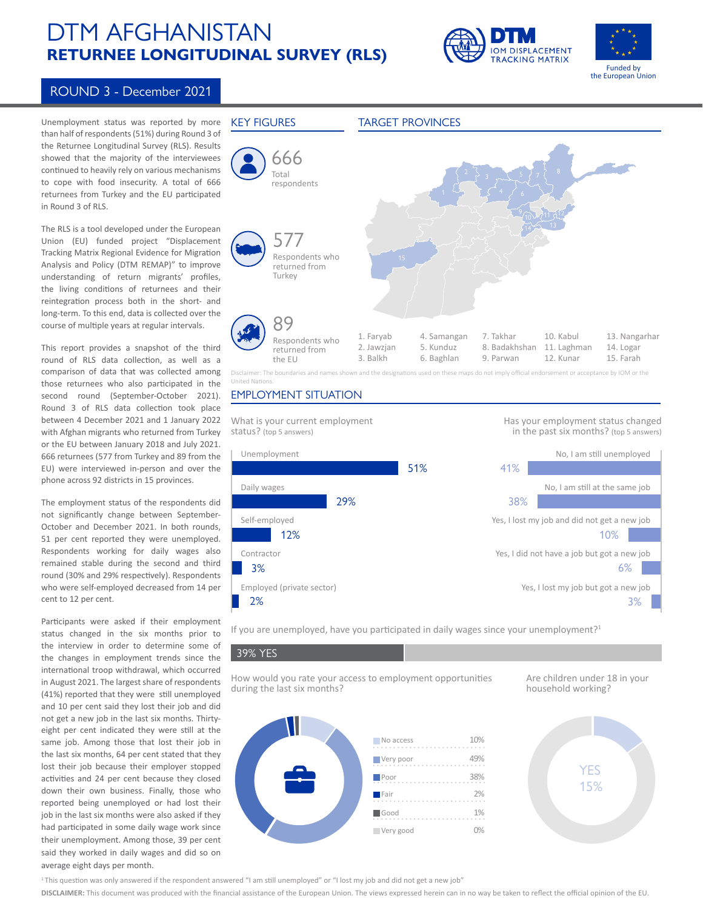# DTM AFGHANISTAN **RETURNEE LONGITUDINAL SURVEY (RLS)**





## ROUND 3 - December 2021

Unemployment status was reported by more than half of respondents (51%) during Round 3 of the Returnee Longitudinal Survey (RLS). Results showed that the majority of the interviewees continued to heavily rely on various mechanisms to cope with food insecurity. A total of 666 returnees from Turkey and the EU participated in Round 3 of RLS.

The RLS is a tool developed under the European Union (EU) funded project "Displacement Tracking Matrix Regional Evidence for Migration Analysis and Policy (DTM REMAP)" to improve understanding of return migrants' profiles, the living conditions of returnees and their reintegration process both in the short- and long-term. To this end, data is collected over the course of multiple years at regular intervals.

This report provides a snapshot of the third round of RLS data collection, as well as a comparison of data that was collected among those returnees who also participated in the second round (September-October 2021). Round 3 of RLS data collection took place between 4 December 2021 and 1 January 2022 with Afghan migrants who returned from Turkey or the EU between January 2018 and July 2021. 666 returnees (577 from Turkey and 89 from the EU) were interviewed in-person and over the phone across 92 districts in 15 provinces.

The employment status of the respondents did not significantly change between September-October and December 2021. In both rounds, 51 per cent reported they were unemployed. Respondents working for daily wages also remained stable during the second and third round (30% and 29% respectively). Respondents who were self-employed decreased from 14 per cent to 12 per cent.

Participants were asked if their employment status changed in the six months prior to the interview in order to determine some of the changes in employment trends since the international troop withdrawal, which occurred in August 2021. The largest share of respondents (41%) reported that they were still unemployed and 10 per cent said they lost their job and did not get a new job in the last six months. Thirtyeight per cent indicated they were still at the same job. Among those that lost their job in the last six months, 64 per cent stated that they lost their job because their employer stopped activities and 24 per cent because they closed down their own business. Finally, those who reported being unemployed or had lost their job in the last six months were also asked if they had participated in some daily wage work since their unemployment. Among those, 39 per cent said they worked in daily wages and did so on average eight days per month.



### EMPLOYMENT SITUATION



If you are unemployed, have you participated in daily wages since your unemployment?<sup>1</sup>

39% YES

How would you rate your access to employment opportunities during the last six months?

Are children under 18 in your household working?



15% 15%

<sup>1</sup>This question was only answered if the respondent answered "I am still unemployed" or "I lost my job and did not get a new job"

**DISCLAIMER:** This document was produced with the financial assistance of the European Union. The views expressed herein can in no way be taken to reflect the official opinion of the EU.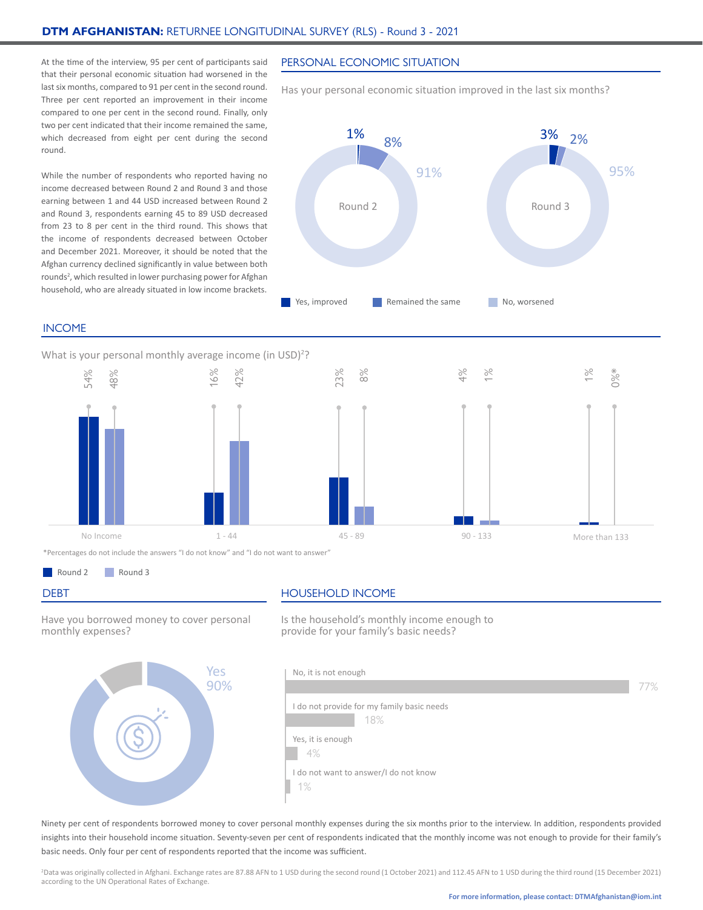At the time of the interview, 95 per cent of participants said that their personal economic situation had worsened in the last six months, compared to 91 per cent in the second round. Three per cent reported an improvement in their income compared to one per cent in the second round. Finally, only two per cent indicated that their income remained the same, which decreased from eight per cent during the second round.

While the number of respondents who reported having no income decreased between Round 2 and Round 3 and those earning between 1 and 44 USD increased between Round 2 and Round 3, respondents earning 45 to 89 USD decreased from 23 to 8 per cent in the third round. This shows that the income of respondents decreased between October and December 2021. Moreover, it should be noted that the Afghan currency declined significantly in value between both rounds<sup>2</sup>, which resulted in lower purchasing power for Afghan household, who are already situated in low income brackets.

#### PERSONAL ECONOMIC SITUATION

Has your personal economic situation improved in the last six months?



#### INCOME

What is your personal monthly average income (in USD)<sup>2</sup>?





\*Percentages do not include the answers "I do not know" and "I do not want to answer"





#### DEBT **HOUSEHOLD INCOME**

Have you borrowed money to cover personal monthly expenses?



Is the household's monthly income enough to provide for your family's basic needs?



Ninety per cent of respondents borrowed money to cover personal monthly expenses during the six months prior to the interview. In addition, respondents provided insights into their household income situation. Seventy-seven per cent of respondents indicated that the monthly income was not enough to provide for their family's basic needs. Only four per cent of respondents reported that the income was sufficient.

2 Data was originally collected in Afghani. Exchange rates are 87.88 AFN to 1 USD during the second round (1 October 2021) and 112.45 AFN to 1 USD during the third round (15 December 2021) according to the UN Operational Rates of Exchange.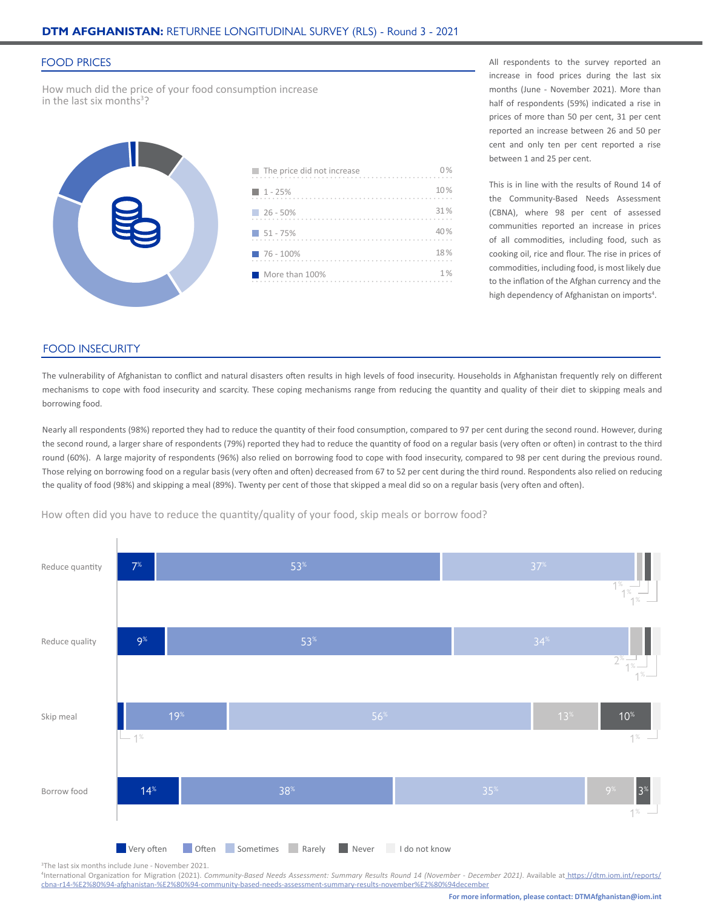#### FOOD PRICES

How much did the price of your food consumption increase in the last six months<sup>3</sup>?



| $\blacksquare$ The price did not increase | 0%  |
|-------------------------------------------|-----|
| $1 - 25%$                                 | 10% |
| $-26 - 50%$                               | 31% |
| $151 - 75%$                               | 40% |
| $76 - 100\%$                              | 18% |
| More than 100%                            | 1%  |

All respondents to the survey reported an increase in food prices during the last six months (June - November 2021). More than half of respondents (59%) indicated a rise in prices of more than 50 per cent, 31 per cent reported an increase between 26 and 50 per cent and only ten per cent reported a rise between 1 and 25 per cent.

This is in line with the results of Round 14 of the Community-Based Needs Assessment (CBNA), where 98 per cent of assessed communities reported an increase in prices of all commodities, including food, such as cooking oil, rice and flour. The rise in prices of commodities, including food, is most likely due to the inflation of the Afghan currency and the high dependency of Afghanistan on imports<sup>4</sup>.

#### FOOD INSECURITY

The vulnerability of Afghanistan to conflict and natural disasters often results in high levels of food insecurity. Households in Afghanistan frequently rely on different mechanisms to cope with food insecurity and scarcity. These coping mechanisms range from reducing the quantity and quality of their diet to skipping meals and borrowing food.

Nearly all respondents (98%) reported they had to reduce the quantity of their food consumption, compared to 97 per cent during the second round. However, during the second round, a larger share of respondents (79%) reported they had to reduce the quantity of food on a regular basis (very often or often) in contrast to the third round (60%). A large majority of respondents (96%) also relied on borrowing food to cope with food insecurity, compared to 98 per cent during the previous round. Those relying on borrowing food on a regular basis (very often and often) decreased from 67 to 52 per cent during the third round. Respondents also relied on reducing the quality of food (98%) and skipping a meal (89%). Twenty per cent of those that skipped a meal did so on a regular basis (very often and often).

How often did you have to reduce the quantity/quality of your food, skip meals or borrow food?



3 The last six months include June - November 2021.

4 International Organization for Migration (2021). *Community-Based Needs Assessment: Summary Results Round 14 (November - December 2021)*. Available at [https://dtm.iom.int/reports/]( https://dtm.iom.int/reports/cbna-r14-%E2%80%94-afghanistan-%E2%80%94-community-based-needs-assessme) [cbna-r14-%E2%80%94-afghanistan-%E2%80%94-community-based-needs-assessment-summary-results-november%E2%80%94december]( https://dtm.iom.int/reports/cbna-r14-%E2%80%94-afghanistan-%E2%80%94-community-based-needs-assessme)